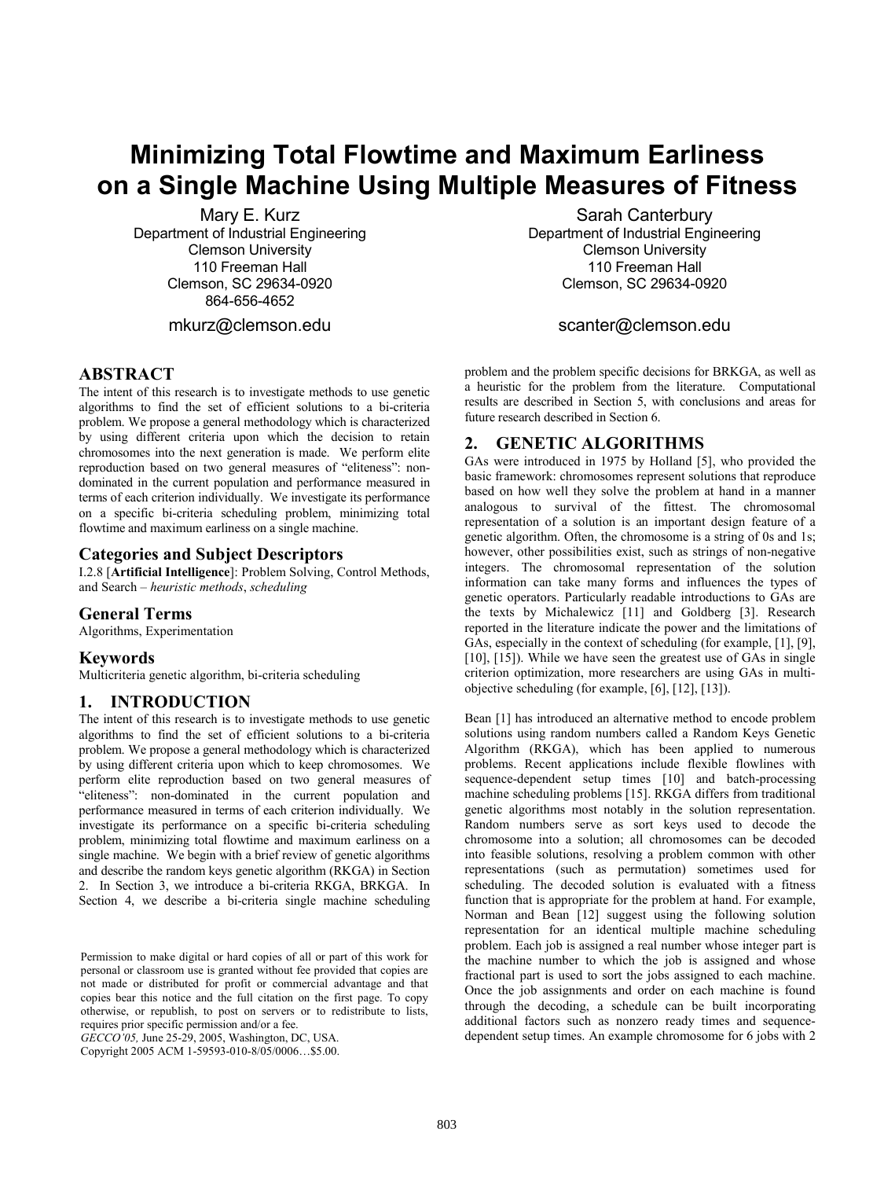# **Minimizing Total Flowtime and Maximum Earliness on a Single Machine Using Multiple Measures of Fitness**

Mary E. Kurz Department of Industrial Engineering Clemson University 110 Freeman Hall Clemson, SC 29634-0920 864-656-4652 mkurz@clemson.edu

**ABSTRACT**

The intent of this research is to investigate methods to use genetic algorithms to find the set of efficient solutions to a bi-criteria problem. We propose a general methodology which is characterized by using different criteria upon which the decision to retain chromosomes into the next generation is made. We perform elite reproduction based on two general measures of "eliteness": nondominated in the current population and performance measured in terms of each criterion individually. We investigate its performance on a specific bi-criteria scheduling problem, minimizing total flowtime and maximum earliness on a single machine.

# **Categories and Subject Descriptors**

I.2.8 [**Artificial Intelligence**]: Problem Solving, Control Methods, and Search – *heuristic methods*, *scheduling* 

### **General Terms**

Algorithms, Experimentation

### **Keywords**

Multicriteria genetic algorithm, bi-criteria scheduling

### **1. INTRODUCTION**

The intent of this research is to investigate methods to use genetic algorithms to find the set of efficient solutions to a bi-criteria problem. We propose a general methodology which is characterized by using different criteria upon which to keep chromosomes. We perform elite reproduction based on two general measures of "eliteness": non-dominated in the current population and performance measured in terms of each criterion individually. We investigate its performance on a specific bi-criteria scheduling problem, minimizing total flowtime and maximum earliness on a single machine. We begin with a brief review of genetic algorithms and describe the random keys genetic algorithm (RKGA) in Section 2. In Section 3, we introduce a bi-criteria RKGA, BRKGA. In Section 4, we describe a bi-criteria single machine scheduling

*GECCO'05,* June 25-29, 2005, Washington, DC, USA.

Copyright 2005 ACM 1-59593-010-8/05/0006…\$5.00.

Sarah Canterbury Department of Industrial Engineering Clemson University 110 Freeman Hall Clemson, SC 29634-0920

# scanter@clemson.edu

problem and the problem specific decisions for BRKGA, as well as a heuristic for the problem from the literature. Computational results are described in Section 5, with conclusions and areas for future research described in Section 6.

# **2. GENETIC ALGORITHMS**

GAs were introduced in 1975 by Holland [5], who provided the basic framework: chromosomes represent solutions that reproduce based on how well they solve the problem at hand in a manner analogous to survival of the fittest. The chromosomal representation of a solution is an important design feature of a genetic algorithm. Often, the chromosome is a string of 0s and 1s; however, other possibilities exist, such as strings of non-negative integers. The chromosomal representation of the solution information can take many forms and influences the types of genetic operators. Particularly readable introductions to GAs are the texts by Michalewicz [11] and Goldberg [3]. Research reported in the literature indicate the power and the limitations of GAs, especially in the context of scheduling (for example, [1], [9], [10], [15]). While we have seen the greatest use of GAs in single criterion optimization, more researchers are using GAs in multiobjective scheduling (for example, [6], [12], [13]).

Bean [1] has introduced an alternative method to encode problem solutions using random numbers called a Random Keys Genetic Algorithm (RKGA), which has been applied to numerous problems. Recent applications include flexible flowlines with sequence-dependent setup times [10] and batch-processing machine scheduling problems [15]. RKGA differs from traditional genetic algorithms most notably in the solution representation. Random numbers serve as sort keys used to decode the chromosome into a solution; all chromosomes can be decoded into feasible solutions, resolving a problem common with other representations (such as permutation) sometimes used for scheduling. The decoded solution is evaluated with a fitness function that is appropriate for the problem at hand. For example, Norman and Bean [12] suggest using the following solution representation for an identical multiple machine scheduling problem. Each job is assigned a real number whose integer part is the machine number to which the job is assigned and whose fractional part is used to sort the jobs assigned to each machine. Once the job assignments and order on each machine is found through the decoding, a schedule can be built incorporating additional factors such as nonzero ready times and sequencedependent setup times. An example chromosome for 6 jobs with 2

Permission to make digital or hard copies of all or part of this work for personal or classroom use is granted without fee provided that copies are not made or distributed for profit or commercial advantage and that copies bear this notice and the full citation on the first page. To copy otherwise, or republish, to post on servers or to redistribute to lists, requires prior specific permission and/or a fee.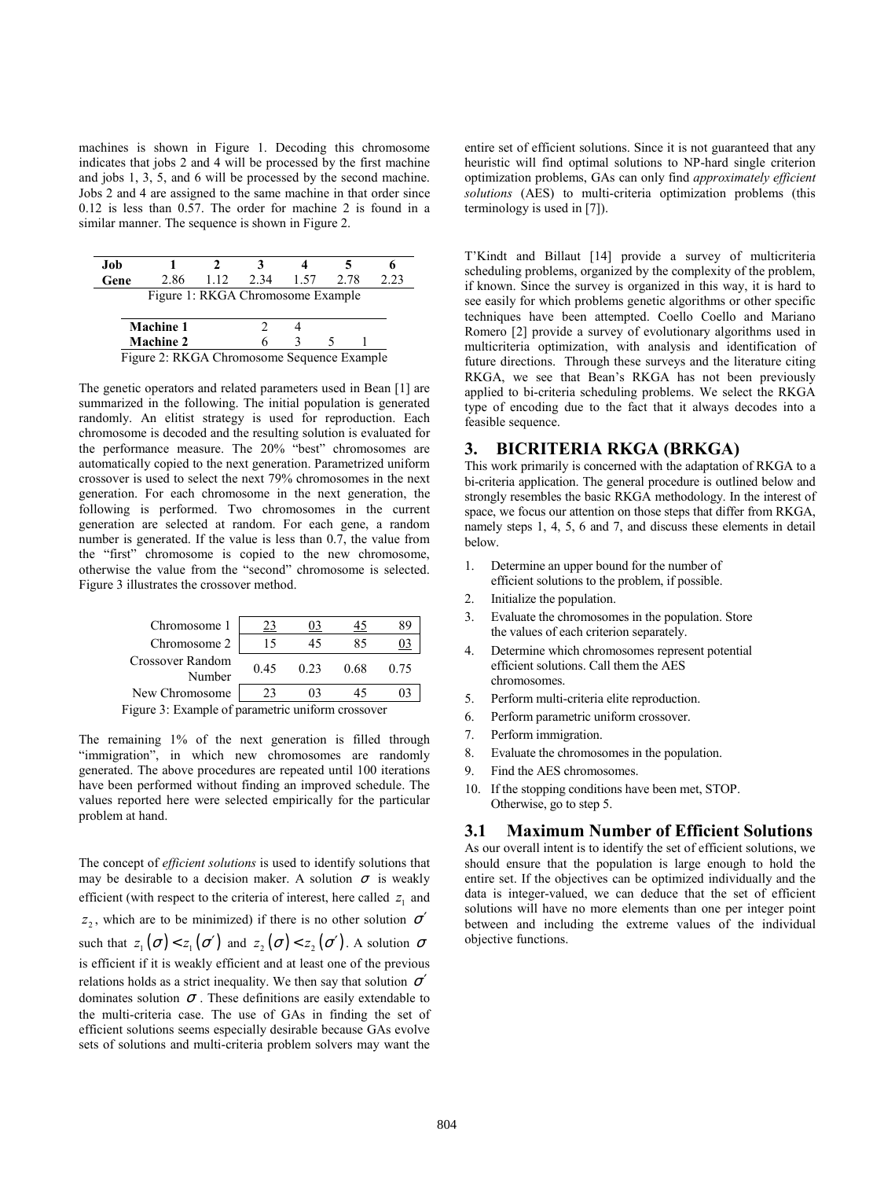machines is shown in Figure 1. Decoding this chromosome indicates that jobs 2 and 4 will be processed by the first machine and jobs 1, 3, 5, and 6 will be processed by the second machine. Jobs 2 and 4 are assigned to the same machine in that order since 0.12 is less than 0.57. The order for machine 2 is found in a similar manner. The sequence is shown in Figure 2.

| Job                                        |                                   |     |      |      |      |      |
|--------------------------------------------|-----------------------------------|-----|------|------|------|------|
| Gene                                       | 2.86                              | 112 | 2.34 | 1.57 | 2.78 | 2.23 |
|                                            | Figure 1: RKGA Chromosome Example |     |      |      |      |      |
|                                            |                                   |     |      |      |      |      |
|                                            | <b>Machine 1</b>                  |     |      |      |      |      |
|                                            | <b>Machine 2</b>                  |     |      |      |      |      |
| Figure 2: RKGA Chromosome Sequence Example |                                   |     |      |      |      |      |

The genetic operators and related parameters used in Bean [1] are summarized in the following. The initial population is generated randomly. An elitist strategy is used for reproduction. Each chromosome is decoded and the resulting solution is evaluated for the performance measure. The 20% "best" chromosomes are automatically copied to the next generation. Parametrized uniform crossover is used to select the next 79% chromosomes in the next generation. For each chromosome in the next generation, the following is performed. Two chromosomes in the current generation are selected at random. For each gene, a random number is generated. If the value is less than 0.7, the value from the "first" chromosome is copied to the new chromosome, otherwise the value from the "second" chromosome is selected. Figure 3 illustrates the crossover method.

| Chromosome 1                                               | 23   |      |      | 89   |  |
|------------------------------------------------------------|------|------|------|------|--|
| Chromosome 2                                               | 15   | 45   | 85   |      |  |
| Crossover Random<br>Number                                 | 0.45 | 0.23 | 0.68 | 0.75 |  |
| New Chromosome                                             | 23   | 03   | 45   |      |  |
| igure <sup>2</sup> Evample of perametric uniform crossover |      |      |      |      |  |

Figure 3: Example of parametric uniform crossover

The remaining 1% of the next generation is filled through "immigration", in which new chromosomes are randomly generated. The above procedures are repeated until 100 iterations have been performed without finding an improved schedule. The values reported here were selected empirically for the particular problem at hand.

The concept of *efficient solutions* is used to identify solutions that may be desirable to a decision maker. A solution  $\sigma$  is weakly efficient (with respect to the criteria of interest, here called  $z<sub>1</sub>$  and  $z_2$ , which are to be minimized) if there is no other solution  $\sigma'$ such that  $z_1(\sigma) < z_1(\sigma')$  and  $z_2(\sigma) < z_2(\sigma')$ . A solution  $\sigma$ is efficient if it is weakly efficient and at least one of the previous relations holds as a strict inequality. We then say that solution  $\sigma'$ dominates solution  $\sigma$ . These definitions are easily extendable to the multi-criteria case. The use of GAs in finding the set of efficient solutions seems especially desirable because GAs evolve sets of solutions and multi-criteria problem solvers may want the

entire set of efficient solutions. Since it is not guaranteed that any heuristic will find optimal solutions to NP-hard single criterion optimization problems, GAs can only find *approximately efficient solutions* (AES) to multi-criteria optimization problems (this terminology is used in [7]).

T'Kindt and Billaut [14] provide a survey of multicriteria scheduling problems, organized by the complexity of the problem, if known. Since the survey is organized in this way, it is hard to see easily for which problems genetic algorithms or other specific techniques have been attempted. Coello Coello and Mariano Romero [2] provide a survey of evolutionary algorithms used in multicriteria optimization, with analysis and identification of future directions. Through these surveys and the literature citing RKGA, we see that Bean's RKGA has not been previously applied to bi-criteria scheduling problems. We select the RKGA type of encoding due to the fact that it always decodes into a feasible sequence.

### **3. BICRITERIA RKGA (BRKGA)**

This work primarily is concerned with the adaptation of RKGA to a bi-criteria application. The general procedure is outlined below and strongly resembles the basic RKGA methodology. In the interest of space, we focus our attention on those steps that differ from RKGA, namely steps 1, 4, 5, 6 and 7, and discuss these elements in detail below.

- 1. Determine an upper bound for the number of efficient solutions to the problem, if possible.
- 2. Initialize the population.
- 3. Evaluate the chromosomes in the population. Store the values of each criterion separately.
- Determine which chromosomes represent potential efficient solutions. Call them the AES chromosomes.
- 5. Perform multi-criteria elite reproduction.
- 6. Perform parametric uniform crossover.
- 7. Perform immigration.
- 8. Evaluate the chromosomes in the population.
- 9. Find the AES chromosomes.
- 10. If the stopping conditions have been met, STOP. Otherwise, go to step 5.

# **3.1 Maximum Number of Efficient Solutions**

As our overall intent is to identify the set of efficient solutions, we should ensure that the population is large enough to hold the entire set. If the objectives can be optimized individually and the data is integer-valued, we can deduce that the set of efficient solutions will have no more elements than one per integer point between and including the extreme values of the individual objective functions.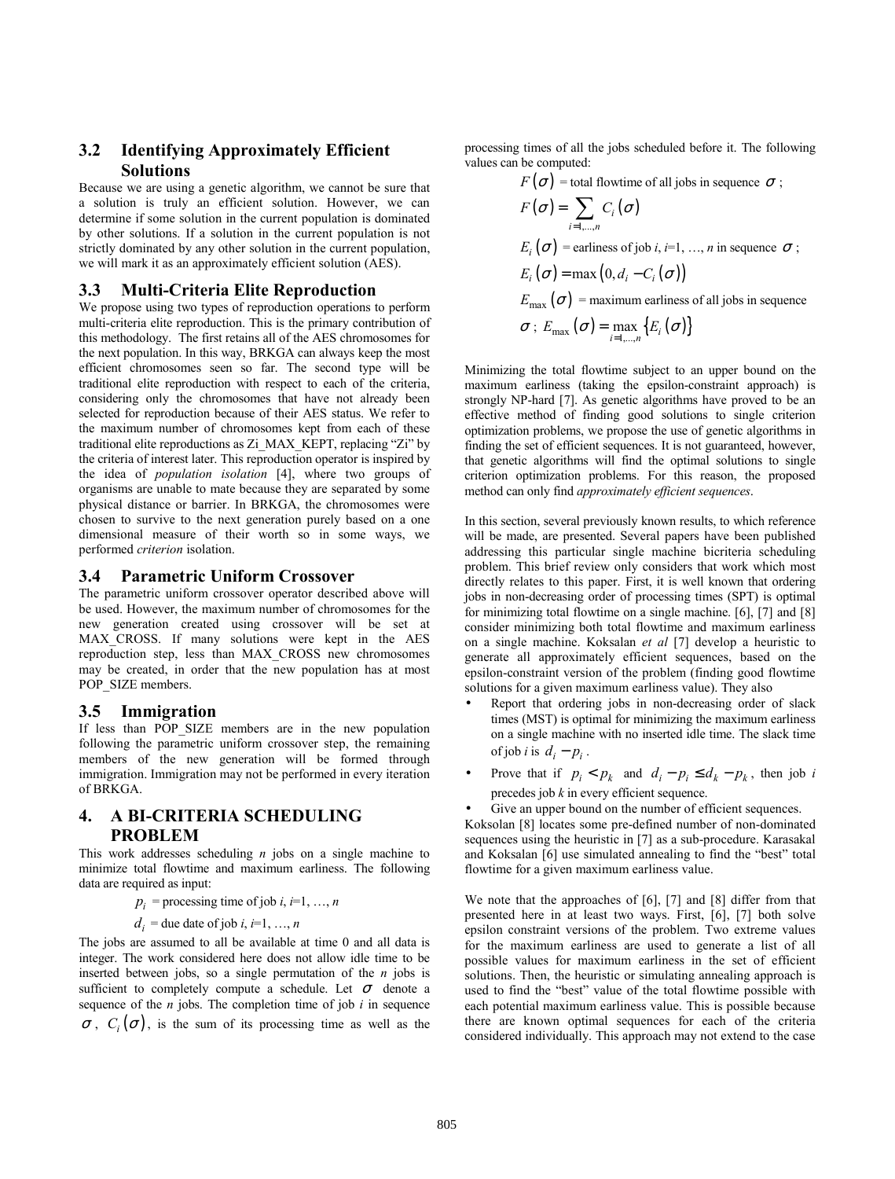# **3.2 Identifying Approximately Efficient Solutions**

Because we are using a genetic algorithm, we cannot be sure that a solution is truly an efficient solution. However, we can determine if some solution in the current population is dominated by other solutions. If a solution in the current population is not strictly dominated by any other solution in the current population, we will mark it as an approximately efficient solution (AES).

### **3.3 Multi-Criteria Elite Reproduction**

We propose using two types of reproduction operations to perform multi-criteria elite reproduction. This is the primary contribution of this methodology. The first retains all of the AES chromosomes for the next population. In this way, BRKGA can always keep the most efficient chromosomes seen so far. The second type will be traditional elite reproduction with respect to each of the criteria, considering only the chromosomes that have not already been selected for reproduction because of their AES status. We refer to the maximum number of chromosomes kept from each of these traditional elite reproductions as Zi\_MAX\_KEPT, replacing "Zi" by the criteria of interest later. This reproduction operator is inspired by the idea of *population isolation* [4], where two groups of organisms are unable to mate because they are separated by some physical distance or barrier. In BRKGA, the chromosomes were chosen to survive to the next generation purely based on a one dimensional measure of their worth so in some ways, we performed *criterion* isolation.

### **3.4 Parametric Uniform Crossover**

The parametric uniform crossover operator described above will be used. However, the maximum number of chromosomes for the new generation created using crossover will be set at MAX CROSS. If many solutions were kept in the AES reproduction step, less than MAX\_CROSS new chromosomes may be created, in order that the new population has at most POP\_SIZE members.

# **3.5 Immigration**

If less than POP SIZE members are in the new population following the parametric uniform crossover step, the remaining members of the new generation will be formed through immigration. Immigration may not be performed in every iteration of BRKGA.

# **4. A BI-CRITERIA SCHEDULING PROBLEM**

This work addresses scheduling *n* jobs on a single machine to minimize total flowtime and maximum earliness. The following data are required as input:

 $p_i$  = processing time of job *i*, *i*=1, …, *n* 

$$
d_i =
$$
due date of job *i*, *i*=1, ..., *n*

The jobs are assumed to all be available at time 0 and all data is integer. The work considered here does not allow idle time to be inserted between jobs, so a single permutation of the *n* jobs is sufficient to completely compute a schedule. Let  $\sigma$  denote a sequence of the *n* jobs. The completion time of job *i* in sequence  $\sigma$ ,  $C_i(\sigma)$ , is the sum of its processing time as well as the processing times of all the jobs scheduled before it. The following values can be computed:

$$
F(\sigma) = \text{total flow time of all jobs in sequence } \sigma ;
$$
  
\n
$$
F(\sigma) = \sum_{i=1,\dots,n} C_i(\sigma)
$$
  
\n
$$
E_i(\sigma) = \text{earliness of job } i, i=1,\dots,n \text{ in sequence } \sigma ;
$$
  
\n
$$
E_i(\sigma) = \max(0, d_i - C_i(\sigma))
$$
  
\n
$$
E_{\text{max}}(\sigma) = \text{maximum earliness of all jobs in sequence}
$$
  
\n
$$
\sigma : E_{\text{max}}(\sigma) = \max_{i=1,\dots,n} \{E_i(\sigma)\}
$$

Minimizing the total flowtime subject to an upper bound on the maximum earliness (taking the epsilon-constraint approach) is strongly NP-hard [7]. As genetic algorithms have proved to be an effective method of finding good solutions to single criterion optimization problems, we propose the use of genetic algorithms in finding the set of efficient sequences. It is not guaranteed, however, that genetic algorithms will find the optimal solutions to single criterion optimization problems. For this reason, the proposed method can only find *approximately efficient sequences*.

In this section, several previously known results, to which reference will be made, are presented. Several papers have been published addressing this particular single machine bicriteria scheduling problem. This brief review only considers that work which most directly relates to this paper. First, it is well known that ordering jobs in non-decreasing order of processing times (SPT) is optimal for minimizing total flowtime on a single machine. [6], [7] and [8] consider minimizing both total flowtime and maximum earliness on a single machine. Koksalan *et al* [7] develop a heuristic to generate all approximately efficient sequences, based on the epsilon-constraint version of the problem (finding good flowtime solutions for a given maximum earliness value). They also

- Report that ordering jobs in non-decreasing order of slack times (MST) is optimal for minimizing the maximum earliness on a single machine with no inserted idle time. The slack time of job *i* is  $d_i - p_i$ .
- Prove that if  $p_i < p_k$  and  $d_i p_i \leq d_k p_k$ , then job *i* precedes job *k* in every efficient sequence.
- Give an upper bound on the number of efficient sequences.

Koksolan [8] locates some pre-defined number of non-dominated sequences using the heuristic in [7] as a sub-procedure. Karasakal and Koksalan [6] use simulated annealing to find the "best" total flowtime for a given maximum earliness value.

We note that the approaches of [6], [7] and [8] differ from that presented here in at least two ways. First, [6], [7] both solve epsilon constraint versions of the problem. Two extreme values for the maximum earliness are used to generate a list of all possible values for maximum earliness in the set of efficient solutions. Then, the heuristic or simulating annealing approach is used to find the "best" value of the total flowtime possible with each potential maximum earliness value. This is possible because there are known optimal sequences for each of the criteria considered individually. This approach may not extend to the case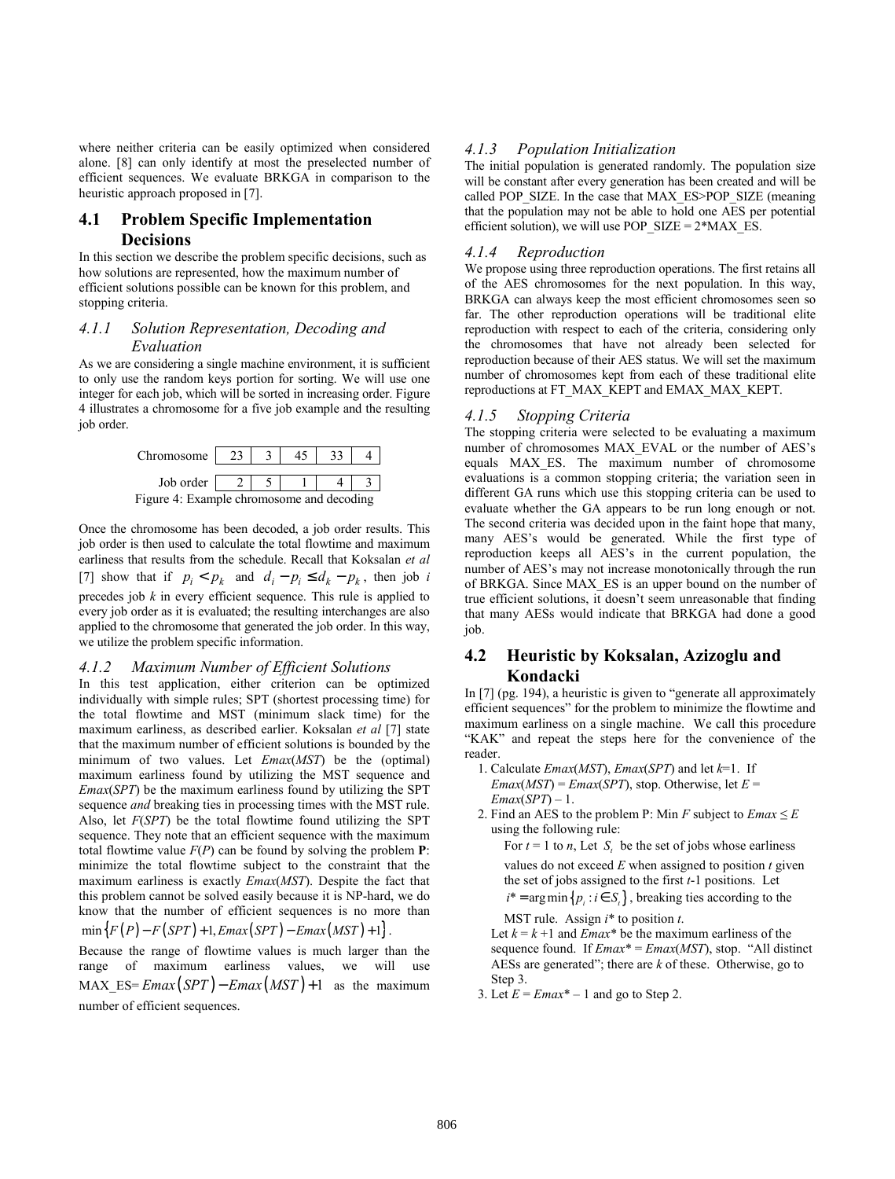where neither criteria can be easily optimized when considered alone. [8] can only identify at most the preselected number of efficient sequences. We evaluate BRKGA in comparison to the heuristic approach proposed in [7].

# **4.1 Problem Specific Implementation Decisions**

In this section we describe the problem specific decisions, such as how solutions are represented, how the maximum number of efficient solutions possible can be known for this problem, and stopping criteria.

### *4.1.1 Solution Representation, Decoding and Evaluation*

As we are considering a single machine environment, it is sufficient to only use the random keys portion for sorting. We will use one integer for each job, which will be sorted in increasing order. Figure 4 illustrates a chromosome for a five job example and the resulting job order.



Once the chromosome has been decoded, a job order results. This job order is then used to calculate the total flowtime and maximum earliness that results from the schedule. Recall that Koksalan *et al* [7] show that if  $p_i < p_k$  and  $d_i - p_i \leq d_k - p_k$ , then job *i* precedes job *k* in every efficient sequence. This rule is applied to every job order as it is evaluated; the resulting interchanges are also applied to the chromosome that generated the job order. In this way, we utilize the problem specific information.

### *4.1.2 Maximum Number of Efficient Solutions*

In this test application, either criterion can be optimized individually with simple rules; SPT (shortest processing time) for the total flowtime and MST (minimum slack time) for the maximum earliness, as described earlier. Koksalan *et al* [7] state that the maximum number of efficient solutions is bounded by the minimum of two values. Let *Emax*(*MST*) be the (optimal) maximum earliness found by utilizing the MST sequence and *Emax*(*SPT*) be the maximum earliness found by utilizing the SPT sequence *and* breaking ties in processing times with the MST rule. Also, let *F*(*SPT*) be the total flowtime found utilizing the SPT sequence. They note that an efficient sequence with the maximum total flowtime value  $F(P)$  can be found by solving the problem  $P$ : minimize the total flowtime subject to the constraint that the maximum earliness is exactly *Emax*(*MST*). Despite the fact that this problem cannot be solved easily because it is NP-hard, we do know that the number of efficient sequences is no more than  $min\{F(P) - F(SPT) + 1, Emax(SPT) - Emax(MST) + 1\}$ .

Because the range of flowtime values is much larger than the range of maximum earliness values, we will use MAX ES=  $Emax(SPT) - Emax(MST) + 1$  as the maximum number of efficient sequences.

# *4.1.3 Population Initialization*

The initial population is generated randomly. The population size will be constant after every generation has been created and will be called POP\_SIZE. In the case that MAX\_ES>POP\_SIZE (meaning that the population may not be able to hold one AES per potential efficient solution), we will use POP\_SIZE =  $2*MAX$  ES.

### *4.1.4 Reproduction*

We propose using three reproduction operations. The first retains all of the AES chromosomes for the next population. In this way, BRKGA can always keep the most efficient chromosomes seen so far. The other reproduction operations will be traditional elite reproduction with respect to each of the criteria, considering only the chromosomes that have not already been selected for reproduction because of their AES status. We will set the maximum number of chromosomes kept from each of these traditional elite reproductions at FT\_MAX\_KEPT and EMAX\_MAX\_KEPT.

### *4.1.5 Stopping Criteria*

The stopping criteria were selected to be evaluating a maximum number of chromosomes MAX\_EVAL or the number of AES's equals MAX\_ES. The maximum number of chromosome evaluations is a common stopping criteria; the variation seen in different GA runs which use this stopping criteria can be used to evaluate whether the GA appears to be run long enough or not. The second criteria was decided upon in the faint hope that many, many AES's would be generated. While the first type of reproduction keeps all AES's in the current population, the number of AES's may not increase monotonically through the run of BRKGA. Since MAX\_ES is an upper bound on the number of true efficient solutions, it doesn't seem unreasonable that finding that many AESs would indicate that BRKGA had done a good job.

# **4.2 Heuristic by Koksalan, Azizoglu and Kondacki**

In [7] (pg. 194), a heuristic is given to "generate all approximately efficient sequences" for the problem to minimize the flowtime and maximum earliness on a single machine. We call this procedure "KAK" and repeat the steps here for the convenience of the reader.

- 1. Calculate *Emax*(*MST*), *Emax*(*SPT*) and let *k*=1. If  $Emax(MST) = Emax(SPT)$ , stop. Otherwise, let  $E =$ *Emax*(*SPT*) – 1.
- 2. Find an AES to the problem P: Min  $F$  subject to  $Emax \leq E$ using the following rule:

For  $t = 1$  to *n*, Let  $S_t$  be the set of jobs whose earliness

- values do not exceed  $E$  when assigned to position  $t$  given the set of jobs assigned to the first *t*-1 positions. Let  $i^* = \arg \min \{ p_i : i \in S_t \}$ , breaking ties according to the
- MST rule. Assign *i*\* to position *t*.

Let  $k = k + 1$  and *Emax*<sup>\*</sup> be the maximum earliness of the sequence found. If *Emax*\* = *Emax*(*MST*), stop. "All distinct AESs are generated"; there are *k* of these. Otherwise, go to Step 3.

3. Let  $E = Emax^* - 1$  and go to Step 2.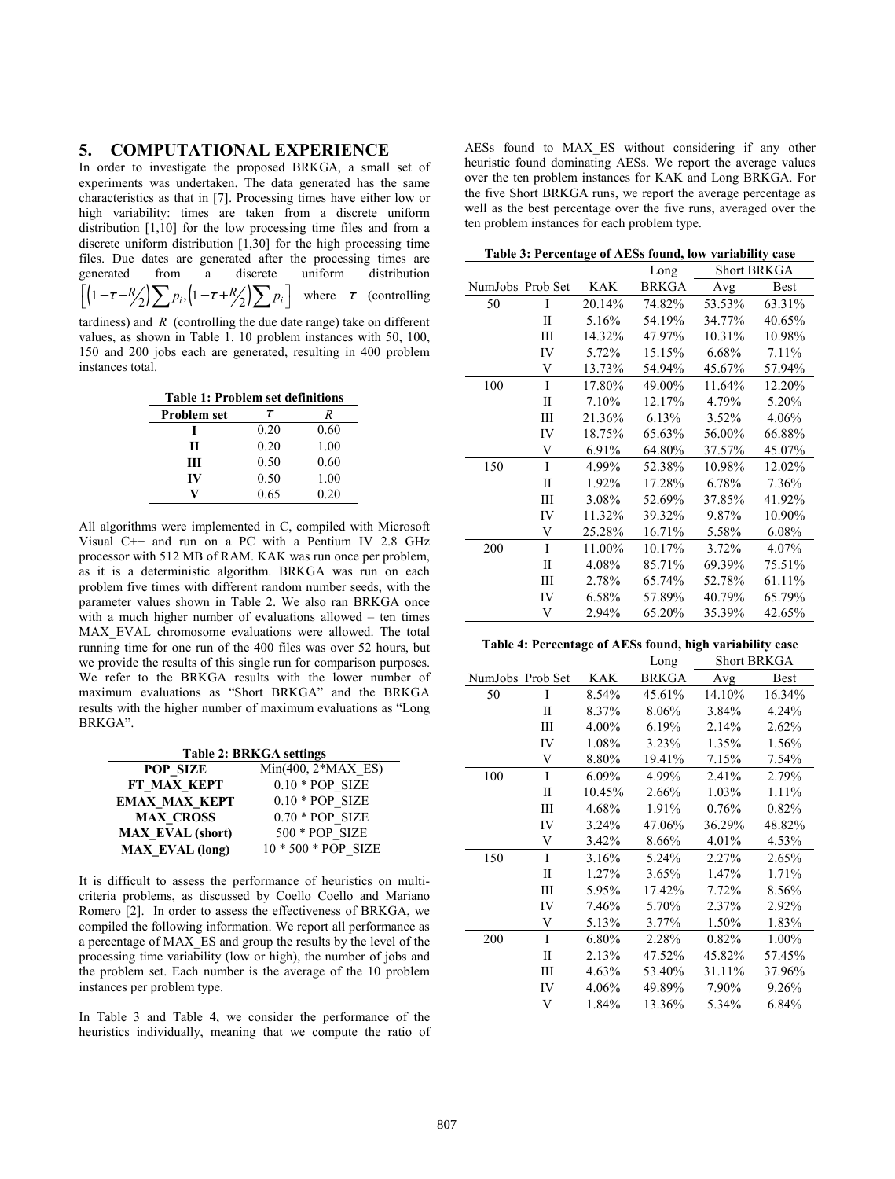# **5. COMPUTATIONAL EXPERIENCE**

In order to investigate the proposed BRKGA, a small set of experiments was undertaken. The data generated has the same characteristics as that in [7]. Processing times have either low or high variability: times are taken from a discrete uniform distribution [1,10] for the low processing time files and from a discrete uniform distribution [1,30] for the high processing time files. Due dates are generated after the processing times are generated from a discrete uniform distribution  $\left| \left( 1 - \tau - R_2 \right) \sum p_i, \left( 1 - \tau + R_2 \right) \sum p_i \right|$  where  $\tau$  (controlling tardiness) and  $R$  (controlling the due date range) take on different values, as shown in Table 1. 10 problem instances with 50, 100,

**Table 1: Problem set definitions** 

150 and 200 jobs each are generated, resulting in 400 problem

instances total.

| <b>Problem set</b> | $\tau$ | ĸ    |
|--------------------|--------|------|
|                    | 0.20   | 0.60 |
| Н                  | 0.20   | 1.00 |
| Ш                  | 0.50   | 0.60 |
| IV                 | 0.50   | 1.00 |
|                    | 0.65   | 0.20 |

All algorithms were implemented in C, compiled with Microsoft Visual C++ and run on a PC with a Pentium IV 2.8 GHz processor with 512 MB of RAM. KAK was run once per problem, as it is a deterministic algorithm. BRKGA was run on each problem five times with different random number seeds, with the parameter values shown in Table 2. We also ran BRKGA once with a much higher number of evaluations allowed – ten times MAX\_EVAL chromosome evaluations were allowed. The total running time for one run of the 400 files was over 52 hours, but we provide the results of this single run for comparison purposes. We refer to the BRKGA results with the lower number of maximum evaluations as "Short BRKGA" and the BRKGA results with the higher number of maximum evaluations as "Long BRKGA".

| <b>Table 2: BRKGA settings</b> |                      |  |  |  |
|--------------------------------|----------------------|--|--|--|
| POP SIZE                       | $Min(400, 2*MAX$ ES) |  |  |  |
| FT MAX KEPT                    | $0.10 * POP SIZE$    |  |  |  |
| <b>EMAX MAX KEPT</b>           | $0.10 * POP SIZE$    |  |  |  |
| <b>MAX CROSS</b>               | $0.70 * POP$ SIZE    |  |  |  |
| <b>MAX EVAL (short)</b>        | 500 * POP SIZE       |  |  |  |
| <b>MAX EVAL (long)</b>         | 10 * 500 * POP SIZE  |  |  |  |

It is difficult to assess the performance of heuristics on multicriteria problems, as discussed by Coello Coello and Mariano Romero [2]. In order to assess the effectiveness of BRKGA, we compiled the following information. We report all performance as a percentage of MAX\_ES and group the results by the level of the processing time variability (low or high), the number of jobs and the problem set. Each number is the average of the 10 problem instances per problem type.

In Table 3 and Table 4, we consider the performance of the heuristics individually, meaning that we compute the ratio of

AESs found to MAX\_ES without considering if any other heuristic found dominating AESs. We report the average values over the ten problem instances for KAK and Long BRKGA. For the five Short BRKGA runs, we report the average percentage as well as the best percentage over the five runs, averaged over the ten problem instances for each problem type.

| Table 3: Percentage of AESs found, low variability case |                            |        |              |        |             |  |
|---------------------------------------------------------|----------------------------|--------|--------------|--------|-------------|--|
|                                                         | <b>Short BRKGA</b><br>Long |        |              |        |             |  |
| NumJobs Prob Set                                        |                            | KAK    | <b>BRKGA</b> | Avg    | <b>Best</b> |  |
| 50                                                      | I                          | 20.14% | 74.82%       | 53.53% | 63.31%      |  |
|                                                         | П                          | 5.16%  | 54.19%       | 34.77% | 40.65%      |  |
|                                                         | Ш                          | 14.32% | 47.97%       | 10.31% | 10.98%      |  |
|                                                         | IV                         | 5.72%  | 15.15%       | 6.68%  | 7.11%       |  |
|                                                         | V                          | 13.73% | 54.94%       | 45.67% | 57.94%      |  |
| 100                                                     | I                          | 17.80% | 49.00%       | 11.64% | 12.20%      |  |
|                                                         | П                          | 7.10%  | 12.17%       | 4.79%  | 5.20%       |  |
|                                                         | Ш                          | 21.36% | 6.13%        | 3.52%  | 4.06%       |  |
|                                                         | IV                         | 18.75% | 65.63%       | 56.00% | 66.88%      |  |
|                                                         | V                          | 6.91%  | 64.80%       | 37.57% | 45.07%      |  |
| 150                                                     | I                          | 4.99%  | 52.38%       | 10.98% | 12.02%      |  |
|                                                         | П                          | 1.92%  | 17.28%       | 6.78%  | 7.36%       |  |
|                                                         | Ш                          | 3.08%  | 52.69%       | 37.85% | 41.92%      |  |
|                                                         | IV                         | 11.32% | 39.32%       | 9.87%  | 10.90%      |  |
|                                                         | V                          | 25.28% | 16.71%       | 5.58%  | 6.08%       |  |
| 200                                                     | I                          | 11.00% | 10.17%       | 3.72%  | 4.07%       |  |
|                                                         | П                          | 4.08%  | 85.71%       | 69.39% | 75.51%      |  |
|                                                         | Ш                          | 2.78%  | 65.74%       | 52.78% | 61.11%      |  |
|                                                         | IV                         | 6.58%  | 57.89%       | 40.79% | 65.79%      |  |
|                                                         | V                          | 2.94%  | 65.20%       | 35.39% | 42.65%      |  |

#### **Table 4: Percentage of AESs found, high variability case**

|                  |    | Long   |              | <b>Short BRKGA</b> |             |
|------------------|----|--------|--------------|--------------------|-------------|
| NumJobs Prob Set |    | KAK    | <b>BRKGA</b> | Avg                | <b>Best</b> |
| 50               | I  | 8.54%  | 45.61%       | 14.10%             | 16.34%      |
|                  | П  | 8.37%  | 8.06%        | 3.84%              | 4.24%       |
|                  | Ш  | 4.00%  | 6.19%        | 2.14%              | 2.62%       |
|                  | IV | 1.08%  | 3.23%        | 1.35%              | 1.56%       |
|                  | V  | 8.80%  | 19.41%       | 7.15%              | 7.54%       |
| 100              | I  | 6.09%  | 4.99%        | 2.41%              | 2.79%       |
|                  | П  | 10.45% | 2.66%        | 1.03%              | 1.11%       |
|                  | Ш  | 4.68%  | 1.91%        | 0.76%              | 0.82%       |
|                  | IV | 3.24%  | 47.06%       | 36.29%             | 48.82%      |
|                  | V  | 3.42%  | 8.66%        | 4.01%              | 4.53%       |
| 150              | I  | 3.16%  | 5.24%        | 2.27%              | 2.65%       |
|                  | П  | 1.27%  | 3.65%        | 1.47%              | 1.71%       |
|                  | Ш  | 5.95%  | 17.42%       | 7.72%              | 8.56%       |
|                  | IV | 7.46%  | 5.70%        | 2.37%              | 2.92%       |
|                  | V  | 5.13%  | 3.77%        | 1.50%              | 1.83%       |
| 200              | I  | 6.80%  | 2.28%        | 0.82%              | 1.00%       |
|                  | П  | 2.13%  | 47.52%       | 45.82%             | 57.45%      |
|                  | Ш  | 4.63%  | 53.40%       | 31.11%             | 37.96%      |
|                  | IV | 4.06%  | 49.89%       | 7.90%              | 9.26%       |
|                  | V  | 1.84%  | 13.36%       | 5.34%              | 6.84%       |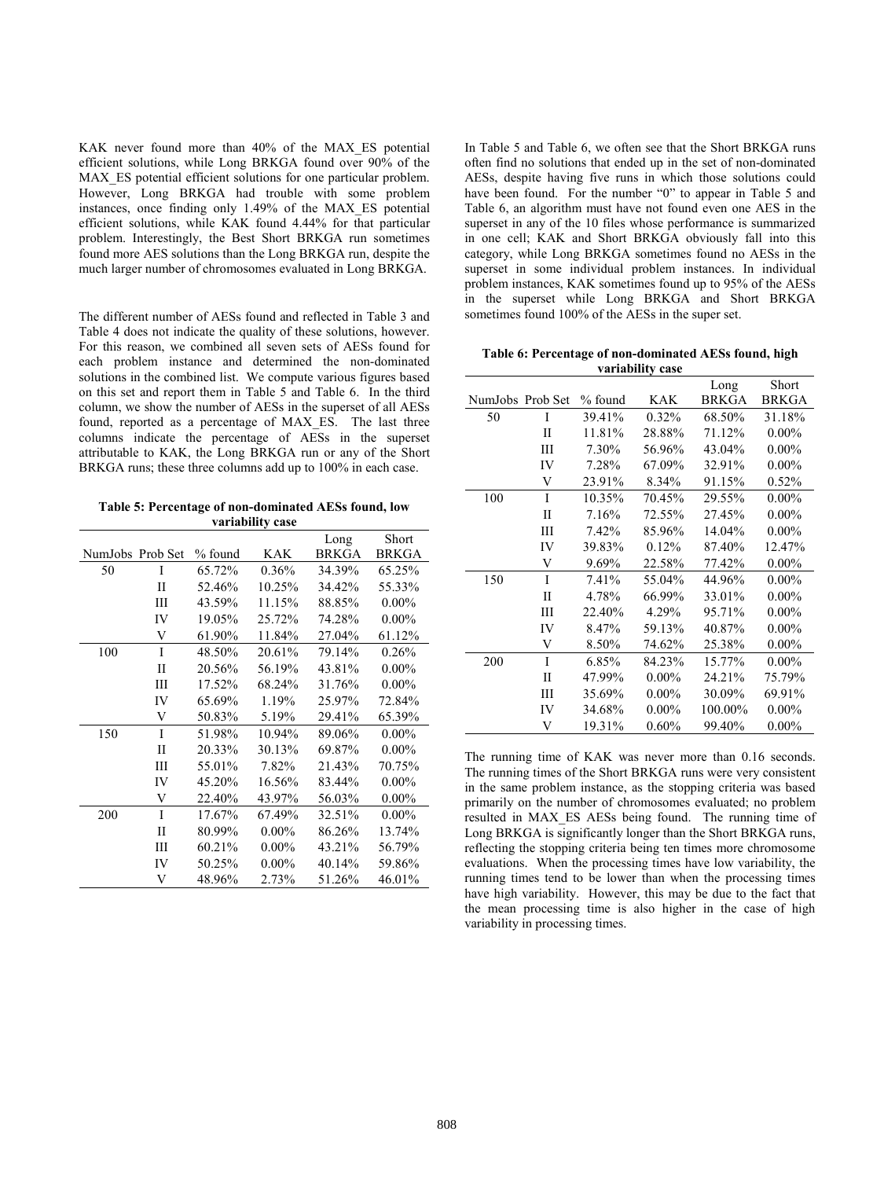KAK never found more than 40% of the MAX ES potential efficient solutions, while Long BRKGA found over 90% of the MAX ES potential efficient solutions for one particular problem. However, Long BRKGA had trouble with some problem instances, once finding only 1.49% of the MAX\_ES potential efficient solutions, while KAK found 4.44% for that particular problem. Interestingly, the Best Short BRKGA run sometimes found more AES solutions than the Long BRKGA run, despite the much larger number of chromosomes evaluated in Long BRKGA.

The different number of AESs found and reflected in Table 3 and Table 4 does not indicate the quality of these solutions, however. For this reason, we combined all seven sets of AESs found for each problem instance and determined the non-dominated solutions in the combined list. We compute various figures based on this set and report them in Table 5 and Table 6. In the third column, we show the number of AESs in the superset of all AESs found, reported as a percentage of MAX\_ES. The last three columns indicate the percentage of AESs in the superset attributable to KAK, the Long BRKGA run or any of the Short BRKGA runs; these three columns add up to 100% in each case.

**Table 5: Percentage of non-dominated AESs found, low variability case** 

|                  |              |           |          | Long         | Short        |
|------------------|--------------|-----------|----------|--------------|--------------|
| NumJobs Prob Set |              | $%$ found | KAK      | <b>BRKGA</b> | <b>BRKGA</b> |
| 50               | I            | 65.72%    | 0.36%    | 34.39%       | 65.25%       |
|                  | П            | 52.46%    | 10.25%   | 34.42%       | 55.33%       |
|                  | Ш            | 43.59%    | 11.15%   | 88.85%       | $0.00\%$     |
|                  | IV           | 19.05%    | 25.72%   | 74.28%       | $0.00\%$     |
|                  | V            | 61.90%    | 11.84%   | 27.04%       | 61.12%       |
| 100              | I            | 48.50%    | 20.61%   | 79.14%       | 0.26%        |
|                  | $\mathbf{I}$ | 20.56%    | 56.19%   | 43.81%       | $0.00\%$     |
|                  | Ш            | 17.52%    | 68.24%   | 31.76%       | $0.00\%$     |
|                  | IV           | 65.69%    | 1.19%    | 25.97%       | 72.84%       |
|                  | V            | 50.83%    | 5.19%    | 29.41%       | 65.39%       |
| 150              | I            | 51.98%    | 10.94%   | 89.06%       | $0.00\%$     |
|                  | $\mathbf{I}$ | 20.33%    | 30.13%   | 69.87%       | $0.00\%$     |
|                  | Ш            | 55.01%    | 7.82%    | 21.43%       | 70.75%       |
|                  | IV           | 45.20%    | 16.56%   | 83.44%       | $0.00\%$     |
|                  | V            | 22.40%    | 43.97%   | 56.03%       | $0.00\%$     |
| 200              | I            | 17.67%    | 67.49%   | 32.51%       | $0.00\%$     |
|                  | $\mathbf{I}$ | 80.99%    | $0.00\%$ | 86.26%       | 13.74%       |
|                  | Ш            | 60.21%    | $0.00\%$ | 43.21%       | 56.79%       |
|                  | IV           | 50.25%    | $0.00\%$ | 40.14%       | 59.86%       |
|                  | V            | 48.96%    | 2.73%    | 51.26%       | 46.01%       |

In Table 5 and Table 6, we often see that the Short BRKGA runs often find no solutions that ended up in the set of non-dominated AESs, despite having five runs in which those solutions could have been found. For the number "0" to appear in Table 5 and Table 6, an algorithm must have not found even one AES in the superset in any of the 10 files whose performance is summarized in one cell; KAK and Short BRKGA obviously fall into this category, while Long BRKGA sometimes found no AESs in the superset in some individual problem instances. In individual problem instances, KAK sometimes found up to 95% of the AESs in the superset while Long BRKGA and Short BRKGA sometimes found 100% of the AESs in the super set.

**Table 6: Percentage of non-dominated AESs found, high variability case** 

|                  |              |           |          | Long         | Short        |
|------------------|--------------|-----------|----------|--------------|--------------|
| NumJobs Prob Set |              | $%$ found | KAK      | <b>BRKGA</b> | <b>BRKGA</b> |
| 50               | I            | 39.41%    | 0.32%    | 68.50%       | 31.18%       |
|                  | П            | 11.81%    | 28.88%   | 71.12%       | $0.00\%$     |
|                  | Ш            | 7.30%     | 56.96%   | 43.04%       | $0.00\%$     |
|                  | IV           | 7.28%     | 67.09%   | 32.91%       | $0.00\%$     |
|                  | V            | 23.91%    | 8.34%    | 91.15%       | 0.52%        |
| 100              | I            | 10.35%    | 70.45%   | 29.55%       | $0.00\%$     |
|                  | П            | 7.16%     | 72.55%   | 27.45%       | $0.00\%$     |
|                  | Ш            | 7.42%     | 85.96%   | 14.04%       | $0.00\%$     |
|                  | IV           | 39.83%    | 0.12%    | 87.40%       | 12.47%       |
|                  | V            | 9.69%     | 22.58%   | 77.42%       | $0.00\%$     |
| 150              | I            | 7.41%     | 55.04%   | 44.96%       | $0.00\%$     |
|                  | $\mathbf{I}$ | 4.78%     | 66.99%   | 33.01%       | $0.00\%$     |
|                  | Ш            | 22.40%    | 4.29%    | 95.71%       | $0.00\%$     |
|                  | IV           | 8.47%     | 59.13%   | 40.87%       | $0.00\%$     |
|                  | V            | 8.50%     | 74.62%   | 25.38%       | $0.00\%$     |
| 200              | I            | 6.85%     | 84.23%   | 15.77%       | $0.00\%$     |
|                  | П            | 47.99%    | $0.00\%$ | 24.21%       | 75.79%       |
|                  | Ш            | 35.69%    | $0.00\%$ | 30.09%       | 69.91%       |
|                  | IV           | 34.68%    | $0.00\%$ | 100.00%      | $0.00\%$     |
|                  | V            | 19.31%    | 0.60%    | 99.40%       | $0.00\%$     |

The running time of KAK was never more than 0.16 seconds. The running times of the Short BRKGA runs were very consistent in the same problem instance, as the stopping criteria was based primarily on the number of chromosomes evaluated; no problem resulted in MAX\_ES AESs being found. The running time of Long BRKGA is significantly longer than the Short BRKGA runs, reflecting the stopping criteria being ten times more chromosome evaluations. When the processing times have low variability, the running times tend to be lower than when the processing times have high variability. However, this may be due to the fact that the mean processing time is also higher in the case of high variability in processing times.